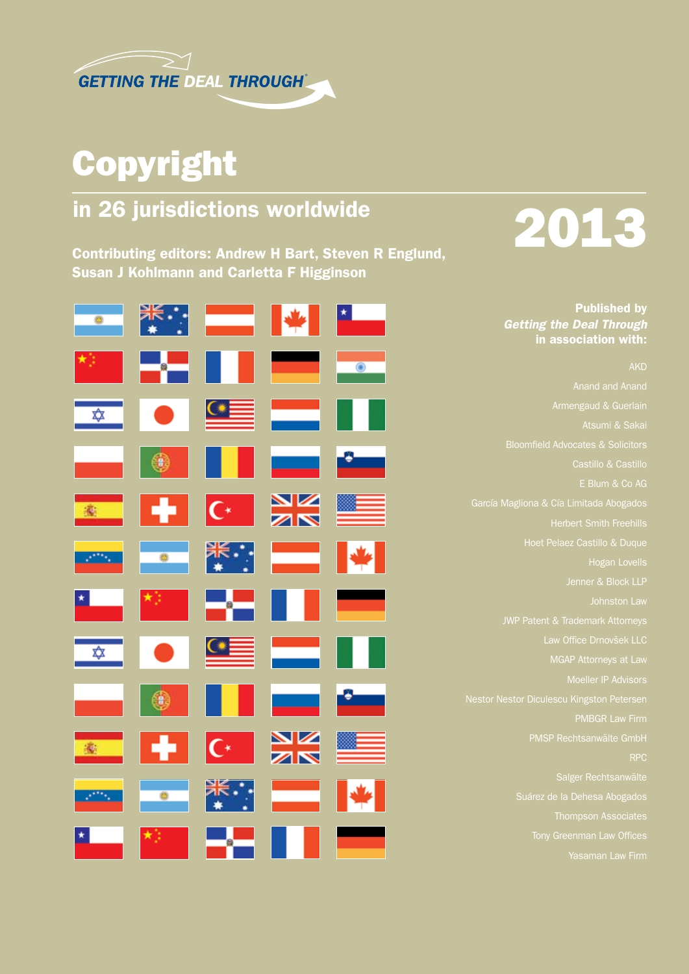

## Copyright

### in 26 jurisdictions worldwide

Contributing editors: Andrew H Bart, Steven R Englund, Susan J Kohlmann and Carletta F Higginson



# 2013

Published by *Getting the Deal Through* in association with:

AKD Atsumi & Sakai Castillo & Castillo E Blum & Co AG García Magliona & Cía Limitada Abogados Hoet Pelaez Castillo & Duque Jenner & Block LLP Law Office Drnovšek LLC MGAP Attorneys at Law RPC Suárez de la Dehesa Abogados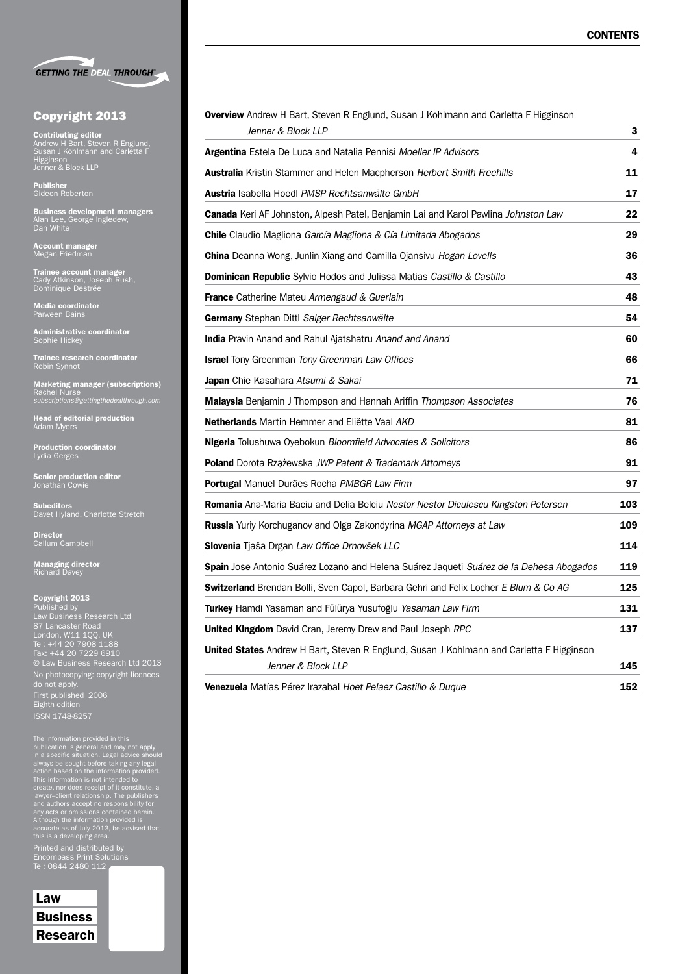|  | <b>GETTING THE DEAL THROUGH®</b> |
|--|----------------------------------|

|  |  | <b>Copyright 2013</b> |
|--|--|-----------------------|
|--|--|-----------------------|

**Contributing editor<br>Andrew H Bart, Steven R Englund,<br>Susan J Kohlmann and Carletta F<br>Higginson<br>Jenner & Block LLP** 

Publisher Gideon Roberton

**Business development managers**<br>Alan Lee, George Ingledew,<br>Dan White

Account manager Megan Friedman

**Trainee account manager**<br>Cady Atkinson, Joseph Rush,<br>Dominique Destrée

Media coordinator Parween Bains

**Administrative coordinator**<br>Sophie Hickey

**Trainee research coordinator**<br>Robin Synnot

Marketing manager (subscriptions) Rachel Nurse *subscriptions@gettingthedealthrough.com*

**Head of editorial production**<br>Adam Myers

Production coordinator<br>Lydia Gerges

**Senior production editor<br>Jonathan Cowie** 

**Subeditors**<br>Davet Hyland, Charlotte Stretch

**Director**<br>Callum Campbell

**Managing director**<br>Richard Davey

Copyright 2013 Published by Law Business Research Ltd 87 Lancaster Road London, W11 1QQ, UK Tel: +44 20 7908 1188 Fax: +44 20 7229 6910 © Law Business Research Ltd 2013 No photocopying: copyright licences do not apply. First published 2006 Eighth edition

The information provided in this<br>publication is general and may not apply<br>in a specific situation. Legal advice should<br>always be sought before taking any legal<br>action based on the information provided.<br>This information is

Printed and distributed by Tel: 0844 2480 112

| Law             |
|-----------------|
| <b>Business</b> |
| <b>Research</b> |

| Overview Andrew H Bart, Steven R Englund, Susan J Kohlmann and Carletta F Higginson<br>Jenner & Block LLP      | 3   |
|----------------------------------------------------------------------------------------------------------------|-----|
| <b>Argentina</b> Estela De Luca and Natalia Pennisi Moeller IP Advisors                                        | 4   |
| <b>Australia</b> Kristin Stammer and Helen Macpherson Herbert Smith Freehills                                  | 11  |
| Austria Isabella Hoedl PMSP Rechtsanwälte GmbH                                                                 | 17  |
| Canada Keri AF Johnston, Alpesh Patel, Benjamin Lai and Karol Pawlina Johnston Law                             | 22  |
| <b>Chile</b> Claudio Magliona García Magliona & Cía Limitada Abogados                                          | 29  |
| China Deanna Wong, Junlin Xiang and Camilla Ojansivu Hogan Lovells                                             | 36  |
| Dominican Republic Sylvio Hodos and Julissa Matias Castillo & Castillo                                         | 43  |
| <b>France</b> Catherine Mateu Armengaud & Guerlain                                                             | 48  |
| Germany Stephan Dittl Salger Rechtsanwälte                                                                     | 54  |
| <b>India</b> Pravin Anand and Rahul Ajatshatru Anand and Anand                                                 | 60  |
| <b>Israel</b> Tony Greenman Tony Greenman Law Offices                                                          | 66  |
| <b>Japan</b> Chie Kasahara Atsumi & Sakai                                                                      | 71  |
| <b>Malaysia</b> Benjamin J Thompson and Hannah Ariffin Thompson Associates                                     | 76  |
| <b>Netherlands</b> Martin Hemmer and Eliëtte Vaal AKD                                                          | 81  |
| Nigeria Tolushuwa Oyebokun Bloomfield Advocates & Solicitors                                                   | 86  |
| <b>Poland</b> Dorota Rzążewska JWP Patent & Trademark Attorneys                                                | 91  |
| Portugal Manuel Durães Rocha PMBGR Law Firm                                                                    | 97  |
| <b>Romania</b> Ana-Maria Baciu and Delia Belciu Nestor Nestor Diculescu Kingston Petersen                      | 103 |
| <b>Russia</b> Yuriy Korchuganov and Olga Zakondyrina MGAP Attorneys at Law                                     | 109 |
| Slovenia Tjaša Drgan Law Office Drnovšek LLC                                                                   | 114 |
| Spain Jose Antonio Suárez Lozano and Helena Suárez Jaqueti Suárez de la Dehesa Abogados                        |     |
| <b>Switzerland</b> Brendan Bolli, Sven Capol, Barbara Gehri and Felix Locher E Blum & Co AG                    | 125 |
| Turkey Hamdi Yasaman and Fülürya Yusufoğlu Yasaman Law Firm                                                    | 131 |
| United Kingdom David Cran, Jeremy Drew and Paul Joseph RPC                                                     | 137 |
| United States Andrew H Bart, Steven R Englund, Susan J Kohlmann and Carletta F Higginson<br>Jenner & Block LLP | 145 |
| Venezuela Matías Pérez Irazabal Hoet Pelaez Castillo & Duque                                                   | 152 |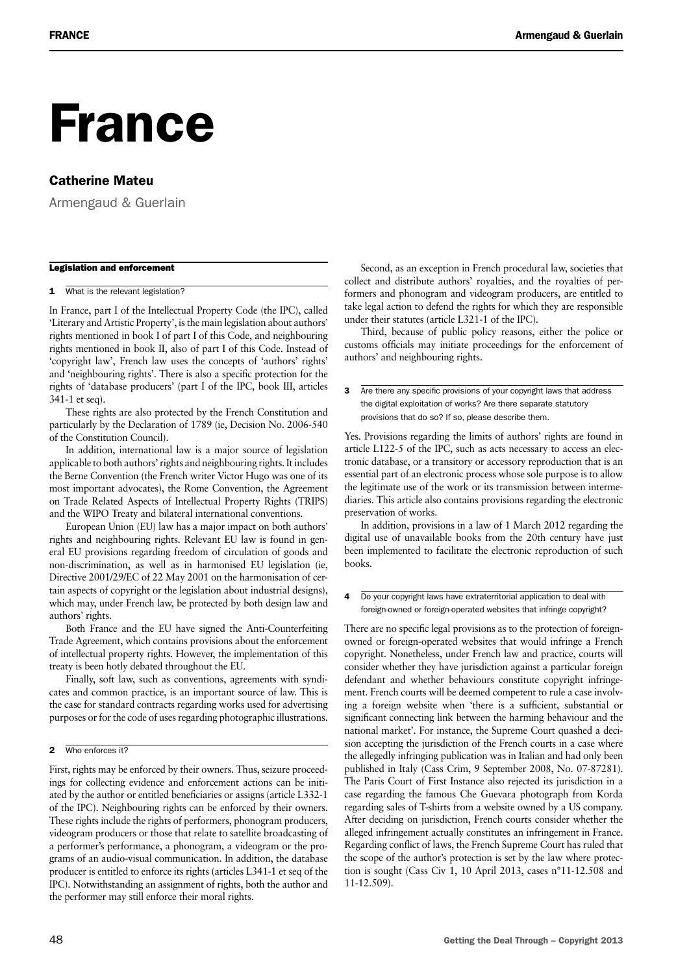## France

#### Catherine Mateu

Armengaud & Guerlain

#### Legislation and enforcement

1 What is the relevant legislation?

In France, part I of the Intellectual Property Code (the IPC), called 'Literary and Artistic Property', is the main legislation about authors' rights mentioned in book I of part I of this Code, and neighbouring rights mentioned in book II, also of part I of this Code. Instead of 'copyright law', French law uses the concepts of 'authors' rights' and 'neighbouring rights'. There is also a specific protection for the rights of 'database producers' (part I of the IPC, book III, articles 341-1 et seq).

These rights are also protected by the French Constitution and particularly by the Declaration of 1789 (ie, Decision No. 2006-540 of the Constitution Council).

In addition, international law is a major source of legislation applicable to both authors' rights and neighbouring rights. It includes the Berne Convention (the French writer Victor Hugo was one of its most important advocates), the Rome Convention, the Agreement on Trade Related Aspects of Intellectual Property Rights (TRIPS) and the WIPO Treaty and bilateral international conventions.

European Union (EU) law has a major impact on both authors' rights and neighbouring rights. Relevant EU law is found in general EU provisions regarding freedom of circulation of goods and non-discrimination, as well as in harmonised EU legislation (ie, Directive 2001/29/EC of 22 May 2001 on the harmonisation of certain aspects of copyright or the legislation about industrial designs), which may, under French law, be protected by both design law and authors' rights.

Both France and the EU have signed the Anti-Counterfeiting Trade Agreement, which contains provisions about the enforcement of intellectual property rights. However, the implementation of this treaty is been hotly debated throughout the EU.

Finally, soft law, such as conventions, agreements with syndicates and common practice, is an important source of law. This is the case for standard contracts regarding works used for advertising purposes or for the code of uses regarding photographic illustrations.

#### 2 Who enforces it?

First, rights may be enforced by their owners. Thus, seizure proceedings for collecting evidence and enforcement actions can be initiated by the author or entitled beneficiaries or assigns (article L332-1 of the IPC). Neighbouring rights can be enforced by their owners. These rights include the rights of performers, phonogram producers, videogram producers or those that relate to satellite broadcasting of a performer's performance, a phonogram, a videogram or the programs of an audio-visual communication. In addition, the database producer is entitled to enforce its rights (articles L341-1 et seq of the IPC). Notwithstanding an assignment of rights, both the author and the performer may still enforce their moral rights.

Second, as an exception in French procedural law, societies that collect and distribute authors' royalties, and the royalties of performers and phonogram and videogram producers, are entitled to take legal action to defend the rights for which they are responsible under their statutes (article L321-1 of the IPC).

Third, because of public policy reasons, either the police or customs officials may initiate proceedings for the enforcement of authors' and neighbouring rights.

**3** Are there any specific provisions of your copyright laws that address the digital exploitation of works? Are there separate statutory provisions that do so? If so, please describe them.

Yes. Provisions regarding the limits of authors' rights are found in article L122-5 of the IPC, such as acts necessary to access an electronic database, or a transitory or accessory reproduction that is an essential part of an electronic process whose sole purpose is to allow the legitimate use of the work or its transmission between intermediaries. This article also contains provisions regarding the electronic preservation of works.

In addition, provisions in a law of 1 March 2012 regarding the digital use of unavailable books from the 20th century have just been implemented to facilitate the electronic reproduction of such books.

#### 4 Do your copyright laws have extraterritorial application to deal with foreign-owned or foreign-operated websites that infringe copyright?

There are no specific legal provisions as to the protection of foreignowned or foreign-operated websites that would infringe a French copyright. Nonetheless, under French law and practice, courts will consider whether they have jurisdiction against a particular foreign defendant and whether behaviours constitute copyright infringement. French courts will be deemed competent to rule a case involving a foreign website when 'there is a sufficient, substantial or significant connecting link between the harming behaviour and the national market'. For instance, the Supreme Court quashed a decision accepting the jurisdiction of the French courts in a case where the allegedly infringing publication was in Italian and had only been published in Italy (Cass Crim, 9 September 2008, No. 07-87281). The Paris Court of First Instance also rejected its jurisdiction in a case regarding the famous Che Guevara photograph from Korda regarding sales of T-shirts from a website owned by a US company. After deciding on jurisdiction, French courts consider whether the alleged infringement actually constitutes an infringement in France. Regarding conflict of laws, the French Supreme Court has ruled that the scope of the author's protection is set by the law where protection is sought (Cass Civ 1, 10 April 2013, cases n°11-12.508 and 11-12.509).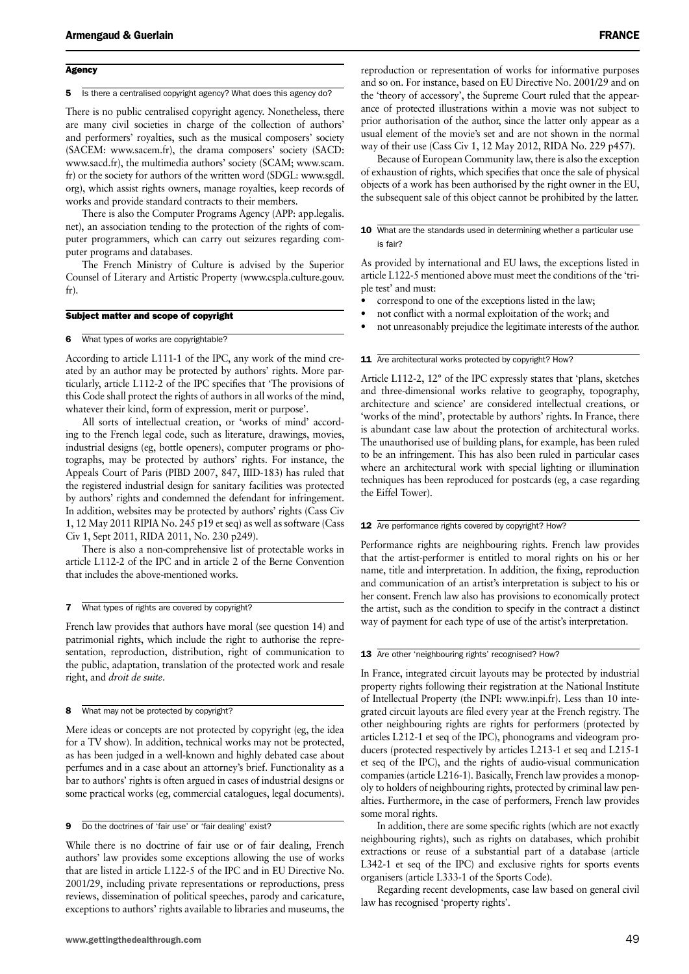#### **Agency**

#### 5 Is there a centralised copyright agency? What does this agency do?

There is no public centralised copyright agency. Nonetheless, there are many civil societies in charge of the collection of authors' and performers' royalties, such as the musical composers' society (SACEM: www.sacem.fr), the drama composers' society (SACD: www.sacd.fr), the multimedia authors' society (SCAM; www.scam. fr) or the society for authors of the written word (SDGL: www.sgdl. org), which assist rights owners, manage royalties, keep records of works and provide standard contracts to their members.

There is also the Computer Programs Agency (APP: app.legalis. net), an association tending to the protection of the rights of computer programmers, which can carry out seizures regarding computer programs and databases.

The French Ministry of Culture is advised by the Superior Counsel of Literary and Artistic Property (www.cspla.culture.gouv. fr).

#### Subject matter and scope of copyright

#### 6 What types of works are copyrightable?

According to article L111-1 of the IPC, any work of the mind created by an author may be protected by authors' rights. More particularly, article L112-2 of the IPC specifies that 'The provisions of this Code shall protect the rights of authors in all works of the mind, whatever their kind, form of expression, merit or purpose'.

All sorts of intellectual creation, or 'works of mind' according to the French legal code, such as literature, drawings, movies, industrial designs (eg, bottle openers), computer programs or photographs, may be protected by authors' rights. For instance, the Appeals Court of Paris (PIBD 2007, 847, IIID-183) has ruled that the registered industrial design for sanitary facilities was protected by authors' rights and condemned the defendant for infringement. In addition, websites may be protected by authors' rights (Cass Civ 1, 12 May 2011 RIPIA No. 245 p19 et seq) as well as software (Cass Civ 1, Sept 2011, RIDA 2011, No. 230 p249).

There is also a non-comprehensive list of protectable works in article L112-2 of the IPC and in article 2 of the Berne Convention that includes the above-mentioned works.

#### **7** What types of rights are covered by copyright?

French law provides that authors have moral (see question 14) and patrimonial rights, which include the right to authorise the representation, reproduction, distribution, right of communication to the public, adaptation, translation of the protected work and resale right, and *droit de suite*.

#### 8 What may not be protected by copyright?

Mere ideas or concepts are not protected by copyright (eg, the idea for a TV show). In addition, technical works may not be protected, as has been judged in a well-known and highly debated case about perfumes and in a case about an attorney's brief. Functionality as a bar to authors' rights is often argued in cases of industrial designs or some practical works (eg, commercial catalogues, legal documents).

9 Do the doctrines of 'fair use' or 'fair dealing' exist?

While there is no doctrine of fair use or of fair dealing, French authors' law provides some exceptions allowing the use of works that are listed in article L122-5 of the IPC and in EU Directive No. 2001/29, including private representations or reproductions, press reviews, dissemination of political speeches, parody and caricature, exceptions to authors' rights available to libraries and museums, the reproduction or representation of works for informative purposes and so on. For instance, based on EU Directive No. 2001/29 and on the 'theory of accessory', the Supreme Court ruled that the appearance of protected illustrations within a movie was not subject to prior authorisation of the author, since the latter only appear as a usual element of the movie's set and are not shown in the normal way of their use (Cass Civ 1, 12 May 2012, RIDA No. 229 p457).

Because of European Community law, there is also the exception of exhaustion of rights, which specifies that once the sale of physical objects of a work has been authorised by the right owner in the EU, the subsequent sale of this object cannot be prohibited by the latter.

#### 10 What are the standards used in determining whether a particular use is fair?

As provided by international and EU laws, the exceptions listed in article L122-5 mentioned above must meet the conditions of the 'triple test' and must:

- correspond to one of the exceptions listed in the law;
- not conflict with a normal exploitation of the work; and
- not unreasonably prejudice the legitimate interests of the author.

#### 11 Are architectural works protected by copyright? How?

Article L112-2, 12° of the IPC expressly states that 'plans, sketches and three-dimensional works relative to geography, topography, architecture and science' are considered intellectual creations, or 'works of the mind', protectable by authors' rights. In France, there is abundant case law about the protection of architectural works. The unauthorised use of building plans, for example, has been ruled to be an infringement. This has also been ruled in particular cases where an architectural work with special lighting or illumination techniques has been reproduced for postcards (eg, a case regarding the Eiffel Tower).

#### 12 Are performance rights covered by copyright? How?

Performance rights are neighbouring rights. French law provides that the artist-performer is entitled to moral rights on his or her name, title and interpretation. In addition, the fixing, reproduction and communication of an artist's interpretation is subject to his or her consent. French law also has provisions to economically protect the artist, such as the condition to specify in the contract a distinct way of payment for each type of use of the artist's interpretation.

#### 13 Are other 'neighbouring rights' recognised? How?

In France, integrated circuit layouts may be protected by industrial property rights following their registration at the National Institute of Intellectual Property (the INPI: www.inpi.fr). Less than 10 integrated circuit layouts are filed every year at the French registry. The other neighbouring rights are rights for performers (protected by articles L212-1 et seq of the IPC), phonograms and videogram producers (protected respectively by articles L213-1 et seq and L215-1 et seq of the IPC), and the rights of audio-visual communication companies (article L216-1). Basically, French law provides a monopoly to holders of neighbouring rights, protected by criminal law penalties. Furthermore, in the case of performers, French law provides some moral rights.

In addition, there are some specific rights (which are not exactly neighbouring rights), such as rights on databases, which prohibit extractions or reuse of a substantial part of a database (article L342-1 et seq of the IPC) and exclusive rights for sports events organisers (article L333-1 of the Sports Code).

Regarding recent developments, case law based on general civil law has recognised 'property rights'.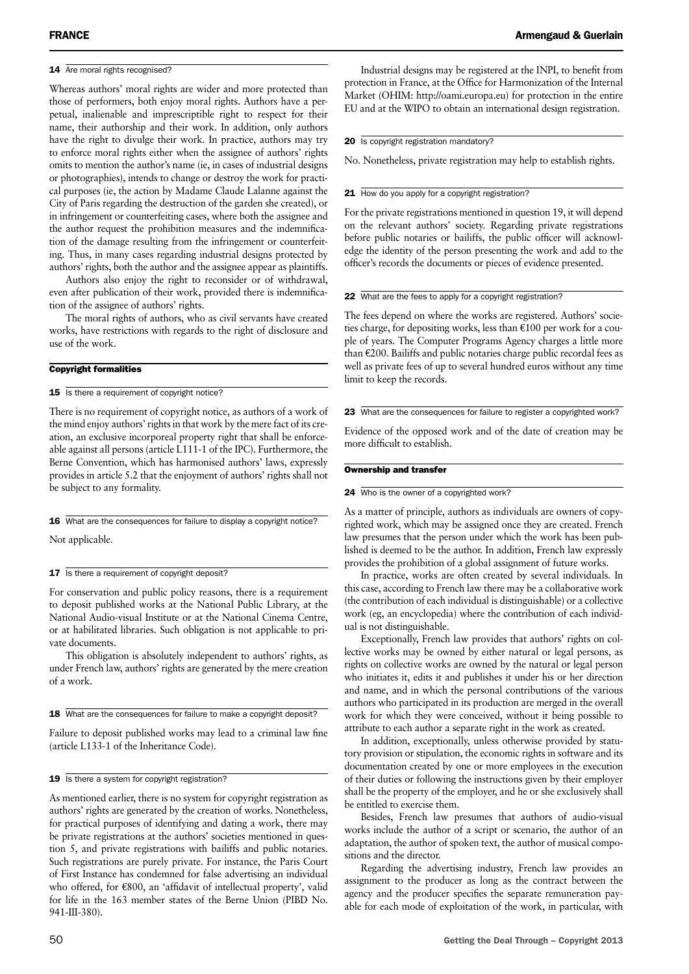#### 14 Are moral rights recognised?

Whereas authors' moral rights are wider and more protected than those of performers, both enjoy moral rights. Authors have a perpetual, inalienable and imprescriptible right to respect for their name, their authorship and their work. In addition, only authors have the right to divulge their work. In practice, authors may try to enforce moral rights either when the assignee of authors' rights omits to mention the author's name (ie, in cases of industrial designs or photographies), intends to change or destroy the work for practical purposes (ie, the action by Madame Claude Lalanne against the City of Paris regarding the destruction of the garden she created), or in infringement or counterfeiting cases, where both the assignee and the author request the prohibition measures and the indemnification of the damage resulting from the infringement or counterfeiting. Thus, in many cases regarding industrial designs protected by authors' rights, both the author and the assignee appear as plaintiffs.

Authors also enjoy the right to reconsider or of withdrawal, even after publication of their work, provided there is indemnification of the assignee of authors' rights.

The moral rights of authors, who as civil servants have created works, have restrictions with regards to the right of disclosure and use of the work.

#### Copyright formalities

#### 15 Is there a requirement of copyright notice?

There is no requirement of copyright notice, as authors of a work of the mind enjoy authors' rights in that work by the mere fact of its creation, an exclusive incorporeal property right that shall be enforceable against all persons (article L111-1 of the IPC). Furthermore, the Berne Convention, which has harmonised authors' laws, expressly provides in article 5.2 that the enjoyment of authors' rights shall not be subject to any formality.

16 What are the consequences for failure to display a copyright notice?

Not applicable.

#### 17 Is there a requirement of copyright deposit?

For conservation and public policy reasons, there is a requirement to deposit published works at the National Public Library, at the National Audio-visual Institute or at the National Cinema Centre, or at habilitated libraries. Such obligation is not applicable to private documents.

This obligation is absolutely independent to authors' rights, as under French law, authors' rights are generated by the mere creation of a work.

18 What are the consequences for failure to make a copyright deposit?

Failure to deposit published works may lead to a criminal law fine (article L133-1 of the Inheritance Code).

#### 19 Is there a system for copyright registration?

As mentioned earlier, there is no system for copyright registration as authors' rights are generated by the creation of works. Nonetheless, for practical purposes of identifying and dating a work, there may be private registrations at the authors' societies mentioned in question 5, and private registrations with bailiffs and public notaries. Such registrations are purely private. For instance, the Paris Court of First Instance has condemned for false advertising an individual who offered, for €800, an 'affidavit of intellectual property', valid for life in the 163 member states of the Berne Union (PIBD No. 941-III-380).

Industrial designs may be registered at the INPI, to benefit from protection in France, at the Office for Harmonization of the Internal Market (OHIM: http://oami.europa.eu) for protection in the entire EU and at the WIPO to obtain an international design registration.

#### 20 Is copyright registration mandatory?

No. Nonetheless, private registration may help to establish rights.

#### 21 How do you apply for a copyright registration?

For the private registrations mentioned in question 19, it will depend on the relevant authors' society. Regarding private registrations before public notaries or bailiffs, the public officer will acknowledge the identity of the person presenting the work and add to the officer's records the documents or pieces of evidence presented.

#### 22 What are the fees to apply for a copyright registration?

The fees depend on where the works are registered. Authors' societies charge, for depositing works, less than  $\epsilon$ 100 per work for a couple of years. The Computer Programs Agency charges a little more than €200. Bailiffs and public notaries charge public recordal fees as well as private fees of up to several hundred euros without any time limit to keep the records.

23 What are the consequences for failure to register a copyrighted work?

Evidence of the opposed work and of the date of creation may be more difficult to establish.

#### Ownership and transfer

#### 24 Who is the owner of a copyrighted work?

As a matter of principle, authors as individuals are owners of copyrighted work, which may be assigned once they are created. French law presumes that the person under which the work has been published is deemed to be the author. In addition, French law expressly provides the prohibition of a global assignment of future works.

In practice, works are often created by several individuals. In this case, according to French law there may be a collaborative work (the contribution of each individual is distinguishable) or a collective work (eg, an encyclopedia) where the contribution of each individual is not distinguishable.

Exceptionally, French law provides that authors' rights on collective works may be owned by either natural or legal persons, as rights on collective works are owned by the natural or legal person who initiates it, edits it and publishes it under his or her direction and name, and in which the personal contributions of the various authors who participated in its production are merged in the overall work for which they were conceived, without it being possible to attribute to each author a separate right in the work as created.

In addition, exceptionally, unless otherwise provided by statutory provision or stipulation, the economic rights in software and its documentation created by one or more employees in the execution of their duties or following the instructions given by their employer shall be the property of the employer, and he or she exclusively shall be entitled to exercise them.

Besides, French law presumes that authors of audio-visual works include the author of a script or scenario, the author of an adaptation, the author of spoken text, the author of musical compositions and the director.

Regarding the advertising industry, French law provides an assignment to the producer as long as the contract between the agency and the producer specifies the separate remuneration payable for each mode of exploitation of the work, in particular, with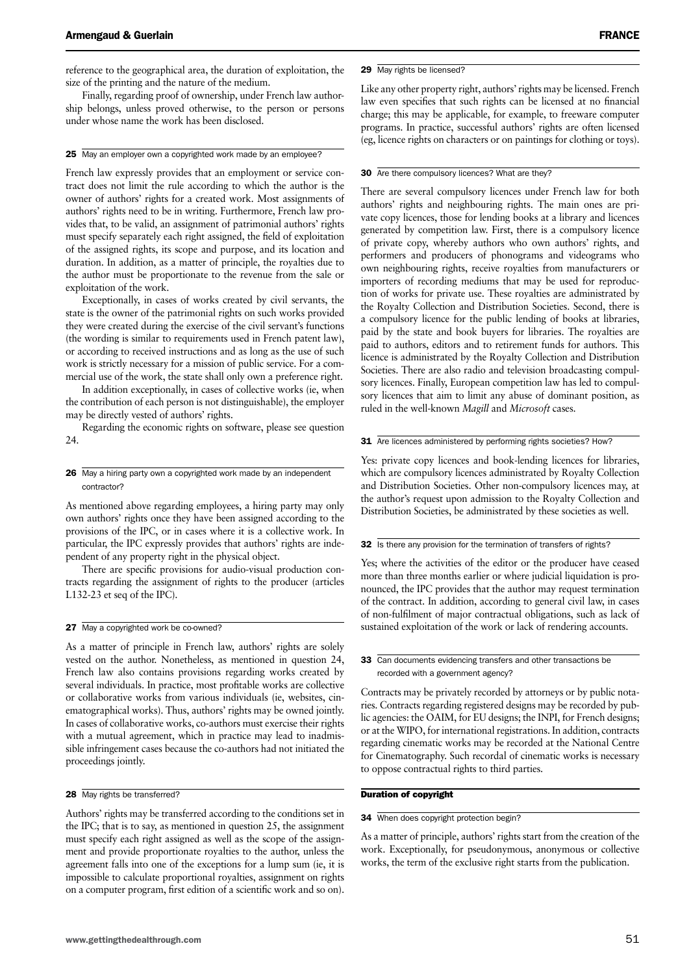reference to the geographical area, the duration of exploitation, the size of the printing and the nature of the medium.

Finally, regarding proof of ownership, under French law authorship belongs, unless proved otherwise, to the person or persons under whose name the work has been disclosed.

#### 25 May an employer own a copyrighted work made by an employee?

French law expressly provides that an employment or service contract does not limit the rule according to which the author is the owner of authors' rights for a created work. Most assignments of authors' rights need to be in writing. Furthermore, French law provides that, to be valid, an assignment of patrimonial authors' rights must specify separately each right assigned, the field of exploitation of the assigned rights, its scope and purpose, and its location and duration. In addition, as a matter of principle, the royalties due to the author must be proportionate to the revenue from the sale or exploitation of the work.

Exceptionally, in cases of works created by civil servants, the state is the owner of the patrimonial rights on such works provided they were created during the exercise of the civil servant's functions (the wording is similar to requirements used in French patent law), or according to received instructions and as long as the use of such work is strictly necessary for a mission of public service. For a commercial use of the work, the state shall only own a preference right.

In addition exceptionally, in cases of collective works (ie, when the contribution of each person is not distinguishable), the employer may be directly vested of authors' rights.

Regarding the economic rights on software, please see question 24.

#### 26 May a hiring party own a copyrighted work made by an independent contractor?

As mentioned above regarding employees, a hiring party may only own authors' rights once they have been assigned according to the provisions of the IPC, or in cases where it is a collective work. In particular, the IPC expressly provides that authors' rights are independent of any property right in the physical object.

There are specific provisions for audio-visual production contracts regarding the assignment of rights to the producer (articles L132-23 et seq of the IPC).

#### 27 May a copyrighted work be co-owned?

As a matter of principle in French law, authors' rights are solely vested on the author. Nonetheless, as mentioned in question 24, French law also contains provisions regarding works created by several individuals. In practice, most profitable works are collective or collaborative works from various individuals (ie, websites, cinematographical works). Thus, authors' rights may be owned jointly. In cases of collaborative works, co-authors must exercise their rights with a mutual agreement, which in practice may lead to inadmissible infringement cases because the co-authors had not initiated the proceedings jointly.

#### 28 May rights be transferred?

Authors' rights may be transferred according to the conditions set in the IPC; that is to say, as mentioned in question 25, the assignment must specify each right assigned as well as the scope of the assignment and provide proportionate royalties to the author, unless the agreement falls into one of the exceptions for a lump sum (ie, it is impossible to calculate proportional royalties, assignment on rights on a computer program, first edition of a scientific work and so on). Like any other property right, authors' rights may be licensed. French law even specifies that such rights can be licensed at no financial charge; this may be applicable, for example, to freeware computer programs. In practice, successful authors' rights are often licensed (eg, licence rights on characters or on paintings for clothing or toys).

#### 30 Are there compulsory licences? What are they?

There are several compulsory licences under French law for both authors' rights and neighbouring rights. The main ones are private copy licences, those for lending books at a library and licences generated by competition law. First, there is a compulsory licence of private copy, whereby authors who own authors' rights, and performers and producers of phonograms and videograms who own neighbouring rights, receive royalties from manufacturers or importers of recording mediums that may be used for reproduction of works for private use. These royalties are administrated by the Royalty Collection and Distribution Societies. Second, there is a compulsory licence for the public lending of books at libraries, paid by the state and book buyers for libraries. The royalties are paid to authors, editors and to retirement funds for authors. This licence is administrated by the Royalty Collection and Distribution Societies. There are also radio and television broadcasting compulsory licences. Finally, European competition law has led to compulsory licences that aim to limit any abuse of dominant position, as ruled in the well-known *Magill* and *Microsoft* cases.

#### 31 Are licences administered by performing rights societies? How?

Yes: private copy licences and book-lending licences for libraries, which are compulsory licences administrated by Royalty Collection and Distribution Societies. Other non-compulsory licences may, at the author's request upon admission to the Royalty Collection and Distribution Societies, be administrated by these societies as well.

#### 32 Is there any provision for the termination of transfers of rights?

Yes; where the activities of the editor or the producer have ceased more than three months earlier or where judicial liquidation is pronounced, the IPC provides that the author may request termination of the contract. In addition, according to general civil law, in cases of non-fulfilment of major contractual obligations, such as lack of sustained exploitation of the work or lack of rendering accounts.

33 Can documents evidencing transfers and other transactions be recorded with a government agency?

Contracts may be privately recorded by attorneys or by public notaries. Contracts regarding registered designs may be recorded by public agencies: the OAIM, for EU designs; the INPI, for French designs; or at the WIPO, for international registrations. In addition, contracts regarding cinematic works may be recorded at the National Centre for Cinematography. Such recordal of cinematic works is necessary to oppose contractual rights to third parties.

#### Duration of copyright

#### 34 When does copyright protection begin?

As a matter of principle, authors' rights start from the creation of the work. Exceptionally, for pseudonymous, anonymous or collective works, the term of the exclusive right starts from the publication.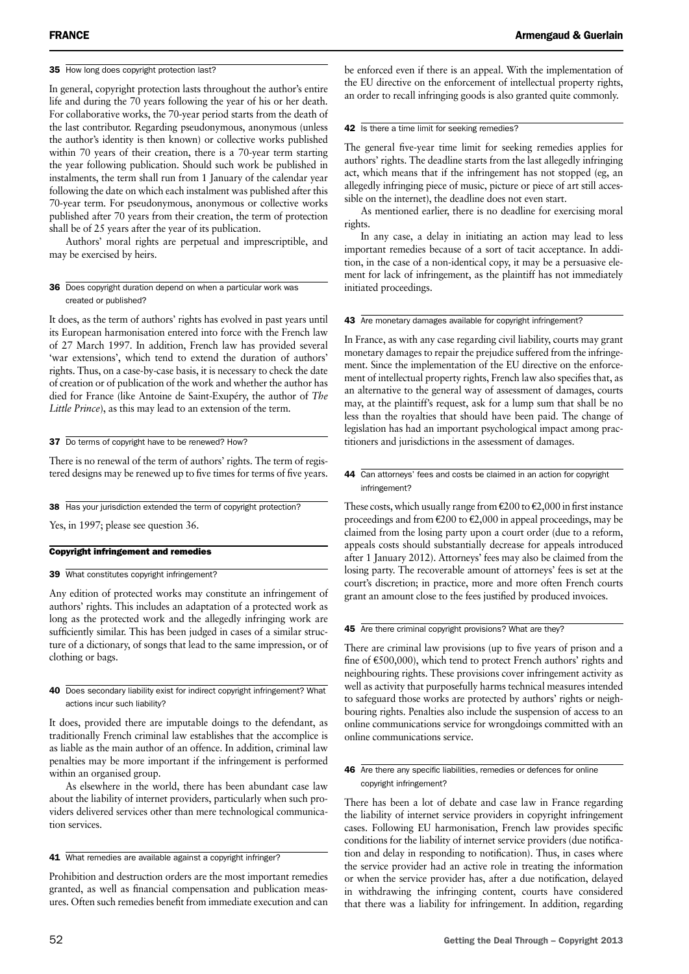#### 35 How long does copyright protection last?

In general, copyright protection lasts throughout the author's entire life and during the 70 years following the year of his or her death. For collaborative works, the 70-year period starts from the death of the last contributor. Regarding pseudonymous, anonymous (unless the author's identity is then known) or collective works published within 70 years of their creation, there is a 70-year term starting the year following publication. Should such work be published in instalments, the term shall run from 1 January of the calendar year following the date on which each instalment was published after this 70-year term. For pseudonymous, anonymous or collective works published after 70 years from their creation, the term of protection shall be of 25 years after the year of its publication.

Authors' moral rights are perpetual and imprescriptible, and may be exercised by heirs.

#### 36 Does copyright duration depend on when a particular work was created or published?

It does, as the term of authors' rights has evolved in past years until its European harmonisation entered into force with the French law of 27 March 1997. In addition, French law has provided several 'war extensions', which tend to extend the duration of authors' rights. Thus, on a case-by-case basis, it is necessary to check the date of creation or of publication of the work and whether the author has died for France (like Antoine de Saint-Exupéry, the author of *The Little Prince*), as this may lead to an extension of the term.

#### 37 Do terms of copyright have to be renewed? How?

There is no renewal of the term of authors' rights. The term of registered designs may be renewed up to five times for terms of five years.

38 Has your jurisdiction extended the term of copyright protection?

Yes, in 1997; please see question 36.

#### Copyright infringement and remedies

39 What constitutes copyright infringement?

Any edition of protected works may constitute an infringement of authors' rights. This includes an adaptation of a protected work as long as the protected work and the allegedly infringing work are sufficiently similar. This has been judged in cases of a similar structure of a dictionary, of songs that lead to the same impression, or of clothing or bags.

40 Does secondary liability exist for indirect copyright infringement? What actions incur such liability?

It does, provided there are imputable doings to the defendant, as traditionally French criminal law establishes that the accomplice is as liable as the main author of an offence. In addition, criminal law penalties may be more important if the infringement is performed within an organised group.

As elsewhere in the world, there has been abundant case law about the liability of internet providers, particularly when such providers delivered services other than mere technological communication services.

#### 41 What remedies are available against a copyright infringer?

Prohibition and destruction orders are the most important remedies granted, as well as financial compensation and publication measures. Often such remedies benefit from immediate execution and can

be enforced even if there is an appeal. With the implementation of the EU directive on the enforcement of intellectual property rights, an order to recall infringing goods is also granted quite commonly.

#### 42 Is there a time limit for seeking remedies?

The general five-year time limit for seeking remedies applies for authors' rights. The deadline starts from the last allegedly infringing act, which means that if the infringement has not stopped (eg, an allegedly infringing piece of music, picture or piece of art still accessible on the internet), the deadline does not even start.

As mentioned earlier, there is no deadline for exercising moral rights.

In any case, a delay in initiating an action may lead to less important remedies because of a sort of tacit acceptance. In addition, in the case of a non-identical copy, it may be a persuasive element for lack of infringement, as the plaintiff has not immediately initiated proceedings.

#### 43 Are monetary damages available for copyright infringement?

In France, as with any case regarding civil liability, courts may grant monetary damages to repair the prejudice suffered from the infringement. Since the implementation of the EU directive on the enforcement of intellectual property rights, French law also specifies that, as an alternative to the general way of assessment of damages, courts may, at the plaintiff's request, ask for a lump sum that shall be no less than the royalties that should have been paid. The change of legislation has had an important psychological impact among practitioners and jurisdictions in the assessment of damages.

#### 44 Can attorneys' fees and costs be claimed in an action for copyright infringement?

These costs, which usually range from  $\epsilon$ 200 to  $\epsilon$ 2,000 in first instance proceedings and from  $\epsilon$ 200 to  $\epsilon$ 2,000 in appeal proceedings, may be claimed from the losing party upon a court order (due to a reform, appeals costs should substantially decrease for appeals introduced after 1 January 2012). Attorneys' fees may also be claimed from the losing party. The recoverable amount of attorneys' fees is set at the court's discretion; in practice, more and more often French courts grant an amount close to the fees justified by produced invoices.

#### 45 Are there criminal copyright provisions? What are they?

There are criminal law provisions (up to five years of prison and a fine of €500,000), which tend to protect French authors' rights and neighbouring rights. These provisions cover infringement activity as well as activity that purposefully harms technical measures intended to safeguard those works are protected by authors' rights or neighbouring rights. Penalties also include the suspension of access to an online communications service for wrongdoings committed with an online communications service.

#### 46 Are there any specific liabilities, remedies or defences for online copyright infringement?

There has been a lot of debate and case law in France regarding the liability of internet service providers in copyright infringement cases. Following EU harmonisation, French law provides specific conditions for the liability of internet service providers (due notification and delay in responding to notification). Thus, in cases where the service provider had an active role in treating the information or when the service provider has, after a due notification, delayed in withdrawing the infringing content, courts have considered that there was a liability for infringement. In addition, regarding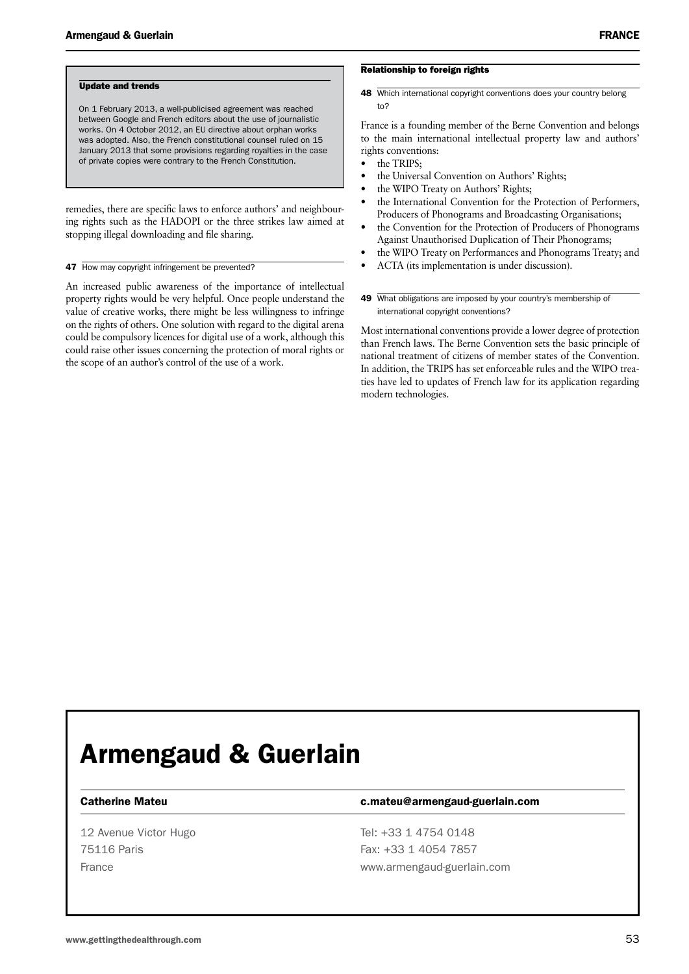#### Update and trends

On 1 February 2013, a well-publicised agreement was reached between Google and French editors about the use of journalistic works. On 4 October 2012, an EU directive about orphan works was adopted. Also, the French constitutional counsel ruled on 15 January 2013 that some provisions regarding royalties in the case of private copies were contrary to the French Constitution.

remedies, there are specific laws to enforce authors' and neighbouring rights such as the HADOPI or the three strikes law aimed at stopping illegal downloading and file sharing.

#### 47 How may copyright infringement be prevented?

An increased public awareness of the importance of intellectual property rights would be very helpful. Once people understand the value of creative works, there might be less willingness to infringe on the rights of others. One solution with regard to the digital arena could be compulsory licences for digital use of a work, although this could raise other issues concerning the protection of moral rights or the scope of an author's control of the use of a work.

#### Relationship to foreign rights

48 Which international copyright conventions does your country belong to?

France is a founding member of the Berne Convention and belongs to the main international intellectual property law and authors' rights conventions:

- the TRIPS;
- the Universal Convention on Authors' Rights;
- the WIPO Treaty on Authors' Rights;
- the International Convention for the Protection of Performers, Producers of Phonograms and Broadcasting Organisations;
- the Convention for the Protection of Producers of Phonograms Against Unauthorised Duplication of Their Phonograms;
- the WIPO Treaty on Performances and Phonograms Treaty; and
- • ACTA (its implementation is under discussion).
- 49 What obligations are imposed by your country's membership of international copyright conventions?

Most international conventions provide a lower degree of protection than French laws. The Berne Convention sets the basic principle of national treatment of citizens of member states of the Convention. In addition, the TRIPS has set enforceable rules and the WIPO treaties have led to updates of French law for its application regarding modern technologies.

### Armengaud & Guerlain

12 Avenue Victor Hugo Tel: +33 1 4754 0148

#### Catherine Mateu c.mateu@armengaud-guerlain.com

75116 Paris Fax: +33 1 4054 7857 France www.armengaud-guerlain.com